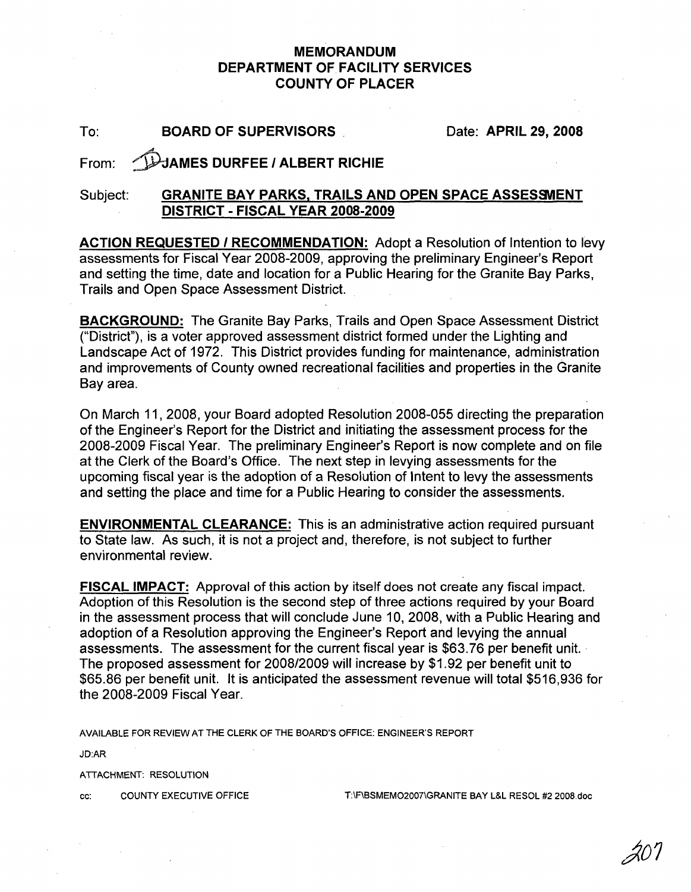## **MEMORANDUM DEPARTMENT OF FACILITY SERVICES COUNTY OF PLACER**

To: **BOARD OF SUPERVISORS**

Date: **APRIL 29,2008**

## From: ~AMES **DURFEE I ALBERT RICHIE**

## $Subject:$  **GRANITE BAY PARKS, TRAILS AND OPEN SPACE ASSESSMENT DISTRICT - FISCAL YEAR 2008-2009**

**ACTION REQUESTED I RECOMMENDATION:** Adopt a Resolution of Intention to levy assessments for Fiscal Year 2008-2009, approving the preliminary Engineer's Report and setting the time, date and location for a Public Hearing for the Granite Bay Parks, Trails and Open Space Assessment District.

**BACKGROUND:** The Granite Bay Parks, Trails and Open Space Assessment District ("District"), is a voter approved assessment district formed under the Lighting and Landscape Act of 1972. This District provides funding for maintenance, administration and improvements of County owned recreational facilities and properties in the Granite Bay area.

On March 11,2008, your Board adopted Resolution 2008-055 directing the preparation of the Engineer's Report for the District and initiating the assessment process for the 2008-2009 Fiscal Year. The preliminary Engineer's Report is now complete and on file at the Clerk of the Board's Office. The next step in levying assessments for the upcoming fiscal year is the adoption of a Resolution of Intent to levy the assessments and setting the place and time for a Public Hearing to consider the assessments.

**ENVIRONMENTAL CLEARANCE:** This is an administrative action required pursuant to State law. As such, it is not a project and, therefore, is not subject to further environmental review.

**FISCAL IMPACT:** Approval of this action by itself does not create any fiscal impact. Adoption of this Resolution is the second step of three actions required by your Board in the assessment process that will conclude June 10, 2008, with a Public Hearing and adoption of a Resolution approving the Engineer's Report and levying the annual assessments. The assessment for the current fiscal year is \$63.76 per benefit unit. . The proposed assessment for 2008/2009 will increase by \$1.92 per benefit unit to \$65.86 per benefit unit. It is anticipated the assessment revenue will total \$516,936 for the 2008-2009 Fiscal Year.

AVAILABLE FOR REVIEW AT THE CLERK OF THE BOARD'S OFFICE: ENGINEER'S REPORT

JD:AR

ATTACHMENT: RESOLUTION

cc: COUNTY EXECUTIVE OFFICE T:\F\BSMEMO2007\GRANITE BAY L&L RESOL #2 2008.doc

 $\mathcal{A}$  $\mathcal{U}$  l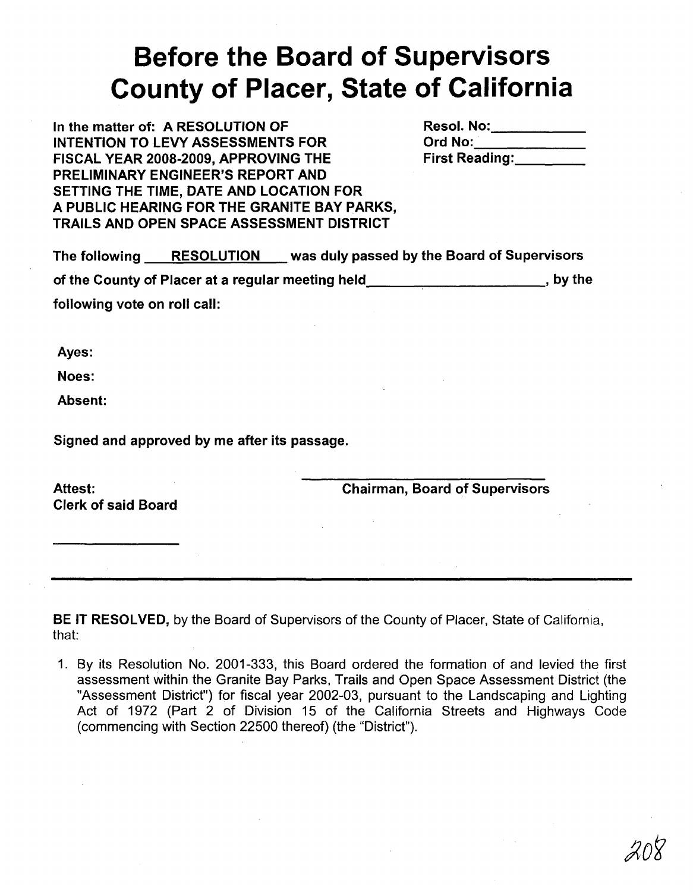## **Before the Board of Supervisors County of Placer, State of California**

In the matter of: A RESOLUTION OF INTENTION TO LEVY ASSESSMENTS FOR FISCAL YEAR 2008·2009, APPROVING THE PRELIMINARY ENGINEER'S REPORT AND SETTING THE TIME, DATE AND LOCATION FOR A PUBLIC HEARING FOR THE GRANITE BAY PARKS, TRAILS AND OPEN SPACE ASSESSMENT DISTRICT

| <b>Resol. No:</b>     |  |
|-----------------------|--|
| <b>Ord No:</b>        |  |
| <b>First Reading:</b> |  |

| The following                | <b>RESOLUTION</b>                                 | was duly passed by the Board of Supervisors |          |
|------------------------------|---------------------------------------------------|---------------------------------------------|----------|
|                              | of the County of Placer at a regular meeting held |                                             | , by the |
| following vote on roll call: |                                                   |                                             |          |

Ayes:

Noes:

Absent:

Signed and approved by me after its passage.

Attest: Clerk of said Board Chairman, Board of Supervisors

BE IT RESOLVED, by the Board of Supervisors of the County of Placer, State of California, that:

1. By its Resolution No. 2001-333, this Board ordered the formation of and levied the first assessment within the Granite Bay Parks, Trails and Open Space Assessment District (the "Assessment District") for fiscal year 2002-03, pursuant to the Landscaping and Lighting Act of 1972 (Part 2 of Division 15 of the California Streets and Highways Code (commencing with Section 22500 thereof) (the "District").